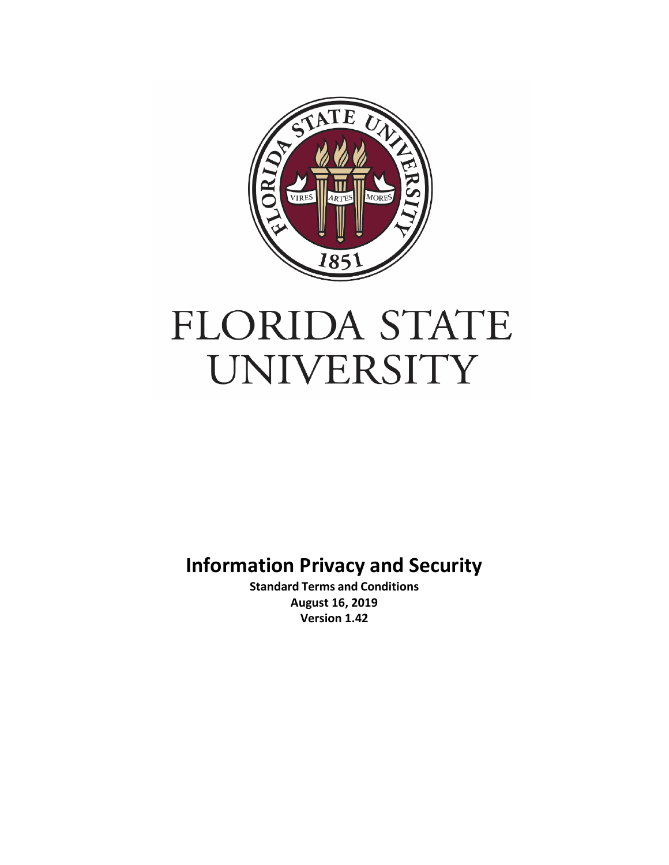

# FLORIDA STATE UNIVERSITY

**Information Privacy and Security**

**Standard Terms and Conditions August 16, 2019 Version 1.42**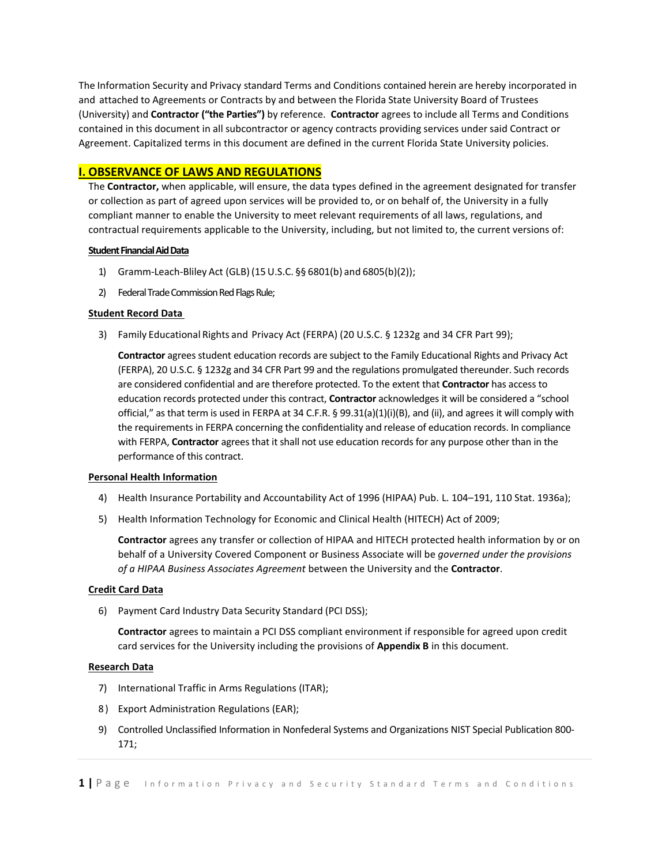The Information Security and Privacy standard Terms and Conditions contained herein are hereby incorporated in and attached to Agreements or Contracts by and between the Florida State University Board of Trustees (University) and **Contractor ("the Parties")** by reference. **Contractor** agrees to include all Terms and Conditions contained in this document in all subcontractor or agency contracts providing services under said Contract or Agreement. Capitalized terms in this document are defined in the current Florida State University policies.

# **I. OBSERVANCE OF LAWS AND REGULATIONS**

The **Contractor,** when applicable, will ensure, the data types defined in the agreement designated for transfer or collection as part of agreed upon services will be provided to, or on behalf of, the University in a fully compliant manner to enable the University to meet relevant requirements of all laws, regulations, and contractual requirements applicable to the University, including, but not limited to, the current versions of:

#### **Student Financial Aid Data**

- 1) Gramm-Leach‐Bliley Act (GLB) (15U.S.C. §§ 6801(b) and 6805(b)(2));
- 2) Federal Trade Commission Red Flags Rule;

# **Student Record Data**

3) Family Educational Rights and Privacy Act (FERPA) (20 U.S.C. § 1232g and 34 CFR Part 99);

**Contractor** agrees student education records are subject to the Family Educational Rights and Privacy Act (FERPA), 20 U.S.C. § 1232g and 34 CFR Part 99 and the regulations promulgated thereunder. Such records are considered confidential and are therefore protected. To the extent that **Contractor** has access to education records protected under this contract, **Contractor** acknowledges it will be considered a "school official," as that term is used in FERPA at 34 C.F.R. § 99.31(a)(1)(i)(B), and (ii), and agrees it will comply with the requirements in FERPA concerning the confidentiality and release of education records. In compliance with FERPA, **Contractor** agrees that it shall not use education records for any purpose other than in the performance of this contract.

#### **Personal Health Information**

- 4) Health Insurance Portability and Accountability Act of 1996 (HIPAA) Pub. L. 104–191, 110 Stat. 1936a);
- 5) Health Information Technology for Economic and Clinical Health (HITECH) Act of 2009;

**Contractor** agrees any transfer or collection of HIPAA and HITECH protected health information by or on behalf of a University Covered Component or Business Associate will be *governed under the provisions of a HIPAA Business Associates Agreement* between the University and the **Contractor**.

#### **Credit Card Data**

6) Payment Card Industry Data Security Standard (PCI DSS);

**Contractor** agrees to maintain a PCI DSS compliant environment if responsible for agreed upon credit card services for the University including the provisions of **Appendix B** in this document.

#### **Research Data**

- 7) International Traffic in Arms Regulations (ITAR);
- 8 ) Export Administration Regulations (EAR);
- 9) Controlled Unclassified Information in Nonfederal Systems and Organizations NIST Special Publication 800- 171;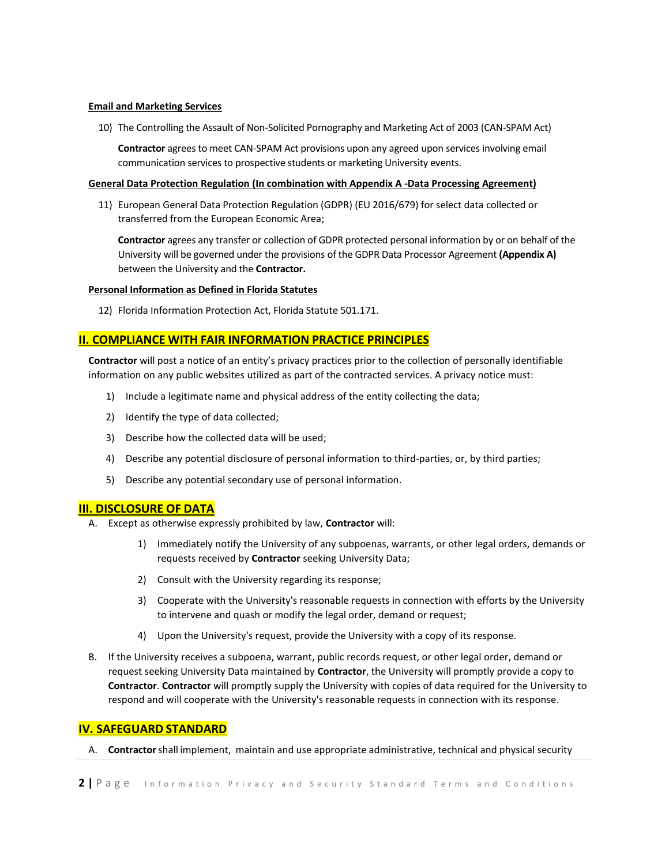#### **Email and Marketing Services**

10) The Controlling the Assault of Non-Solicited Pornography and Marketing Act of 2003 (CAN-SPAM Act)

**Contractor** agrees to meet CAN-SPAM Act provisions upon any agreed upon services involving email communication services to prospective students or marketing University events.

#### **General Data Protection Regulation (In combination with Appendix A -Data Processing Agreement)**

11) European General Data Protection Regulation (GDPR) (EU 2016/679) for select data collected or transferred from the European Economic Area;

**Contractor** agrees any transfer or collection of GDPR protected personal information by or on behalf of the University will be governed under the provisions of the GDPR Data Processor Agreement **(Appendix A)** between the University and the **Contractor.**

#### **Personal Information as Defined in Florida Statutes**

12) Florida Information Protection Act, Florida Statute 501.171.

# **II. COMPLIANCE WITH FAIR INFORMATION PRACTICE PRINCIPLES**

**Contractor** will post a notice of an entity's privacy practices prior to the collection of personally identifiable information on any public websites utilized as part of the contracted services. A privacy notice must:

- 1) Include a legitimate name and physical address of the entity collecting the data;
- 2) Identify the type of data collected;
- 3) Describe how the collected data will be used;
- 4) Describe any potential disclosure of personal information to third-parties, or, by third parties;
- 5) Describe any potential secondary use of personal information.

# **III. DISCLOSURE OF DATA**

- A. Except as otherwise expressly prohibited by law, **Contractor** will:
	- 1) Immediately notify the University of any subpoenas, warrants, or other legal orders, demands or requests received by **Contractor** seeking University Data;
	- 2) Consult with the University regarding its response;
	- 3) Cooperate with the University's reasonable requests in connection with efforts by the University to intervene and quash or modify the legal order, demand or request;
	- 4) Upon the University's request, provide the University with a copy of its response.
- B. If the University receives a subpoena, warrant, public records request, or other legal order, demand or request seeking University Data maintained by **Contractor**, the University will promptly provide a copy to **Contractor**. **Contractor** will promptly supply the University with copies of data required for the University to respond and will cooperate with the University's reasonable requests in connection with its response.

# **IV. SAFEGUARD STANDARD**

A. **Contractor**shall implement, maintain and use appropriate administrative, technical and physical security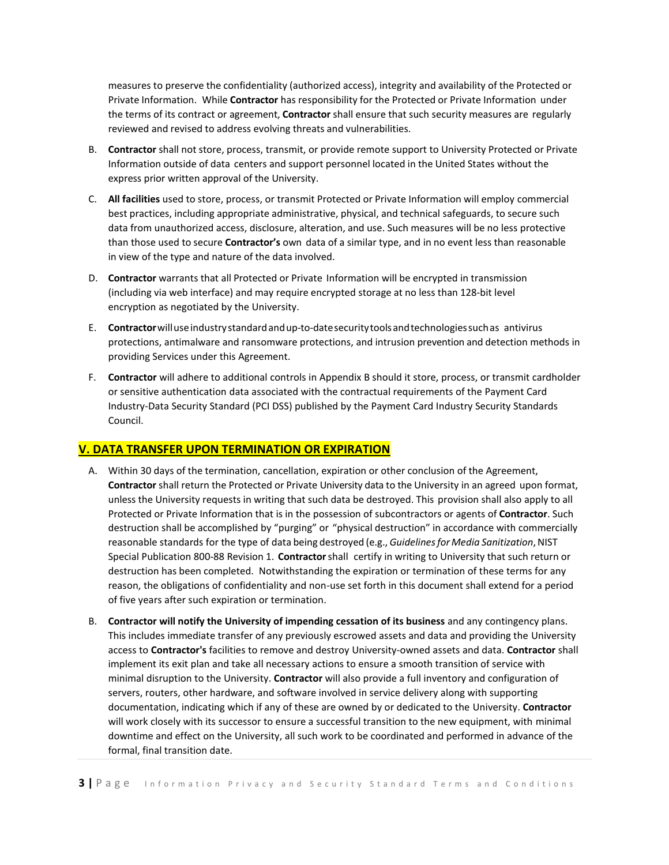measures to preserve the confidentiality (authorized access), integrity and availability of the Protected or Private Information. While **Contractor** has responsibility for the Protected or Private Information under the terms of its contract or agreement, **Contractor** shall ensure that such security measures are regularly reviewed and revised to address evolving threats and vulnerabilities.

- B. **Contractor** shall not store, process, transmit, or provide remote support to University Protected or Private Information outside of data centers and support personnel located in the United States without the express prior written approval of the University.
- C. **All facilities** used to store, process, or transmit Protected or Private Information will employ commercial best practices, including appropriate administrative, physical, and technical safeguards, to secure such data from unauthorized access, disclosure, alteration, and use. Such measures will be no less protective than those used to secure **Contractor's** own data of a similar type, and in no event less than reasonable in view of the type and nature of the data involved.
- D. **Contractor** warrants that all Protected or Private Information will be encrypted in transmission (including via web interface) and may require encrypted storage at no less than 128-bit level encryption as negotiated by the University.
- E. **Contractor**willuseindustrystandardandup‐to-datesecuritytoolsandtechnologiessuchas antivirus protections, antimalware and ransomware protections, and intrusion prevention and detection methods in providing Services under this Agreement.
- F. **Contractor** will adhere to additional controls in Appendix B should it store, process, or transmit cardholder or sensitive authentication data associated with the contractual requirements of the Payment Card Industry-Data Security Standard (PCI DSS) published by the Payment Card Industry Security Standards Council.

# **V. DATA TRANSFER UPON TERMINATION OR EXPIRATION**

- A. Within 30 days of the termination, cancellation, expiration or other conclusion of the Agreement, **Contractor** shall return the Protected or Private University data to the University in an agreed upon format, unless the University requests in writing that such data be destroyed. This provision shall also apply to all Protected or Private Information that is in the possession of subcontractors or agents of **Contractor**. Such destruction shall be accomplished by "purging" or "physical destruction" in accordance with commercially reasonable standards for the type of data being destroyed (e.g., *Guidelines for Media Sanitization*, NIST Special Publication 800‐88 Revision 1. **Contractor**shall certify in writing to University that such return or destruction has been completed. Notwithstanding the expiration or termination of these terms for any reason, the obligations of confidentiality and non-use set forth in this document shall extend for a period of five years after such expiration or termination.
- B. **Contractor will notify the University of impending cessation of its business** and any contingency plans. This includes immediate transfer of any previously escrowed assets and data and providing the University access to **Contractor's** facilities to remove and destroy University-owned assets and data. **Contractor** shall implement its exit plan and take all necessary actions to ensure a smooth transition of service with minimal disruption to the University. **Contractor** will also provide a full inventory and configuration of servers, routers, other hardware, and software involved in service delivery along with supporting documentation, indicating which if any of these are owned by or dedicated to the University. **Contractor** will work closely with its successor to ensure a successful transition to the new equipment, with minimal downtime and effect on the University, all such work to be coordinated and performed in advance of the formal, final transition date.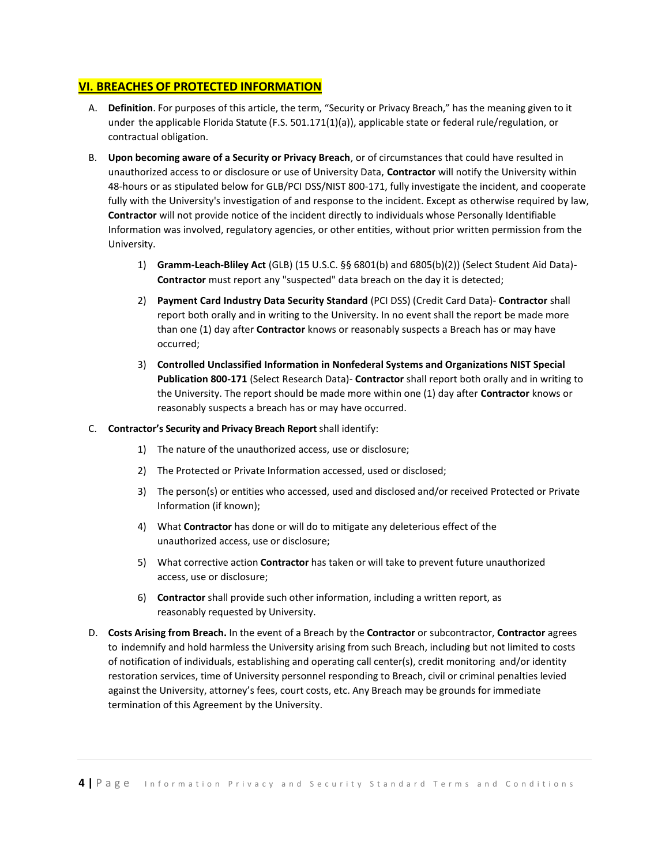# **VI. BREACHES OF PROTECTED INFORMATION**

- A. **Definition**. For purposes of this article, the term, "Security or Privacy Breach," has the meaning given to it under the applicable Florida Statute (F.S. 501.171(1)(a)), applicable state or federal rule/regulation, or contractual obligation.
- B. **Upon becoming aware of a Security or Privacy Breach**, or of circumstances that could have resulted in unauthorized access to or disclosure or use of University Data, **Contractor** will notify the University within 48-hours or as stipulated below for GLB/PCI DSS/NIST 800-171, fully investigate the incident, and cooperate fully with the University's investigation of and response to the incident. Except as otherwise required by law, **Contractor** will not provide notice of the incident directly to individuals whose Personally Identifiable Information was involved, regulatory agencies, or other entities, without prior written permission from the University.
	- 1) **Gramm-Leach‐Bliley Act** (GLB) (15 U.S.C. §§ 6801(b) and 6805(b)(2)) (Select Student Aid Data)- **Contractor** must report any "suspected" data breach on the day it is detected;
	- 2) **Payment Card Industry Data Security Standard** (PCI DSS) (Credit Card Data)- **Contractor** shall report both orally and in writing to the University. In no event shall the report be made more than one (1) day after **Contractor** knows or reasonably suspects a Breach has or may have occurred;
	- 3) **Controlled Unclassified Information in Nonfederal Systems and Organizations NIST Special Publication 800-171** (Select Research Data)- **Contractor** shall report both orally and in writing to the University. The report should be made more within one (1) day after **Contractor** knows or reasonably suspects a breach has or may have occurred.
- C. **Contractor's Security and Privacy Breach Report**shall identify:
	- 1) The nature of the unauthorized access, use or disclosure;
	- 2) The Protected or Private Information accessed, used or disclosed;
	- 3) The person(s) or entities who accessed, used and disclosed and/or received Protected or Private Information (if known);
	- 4) What **Contractor** has done or will do to mitigate any deleterious effect of the unauthorized access, use or disclosure;
	- 5) What corrective action **Contractor** has taken or will take to prevent future unauthorized access, use or disclosure;
	- 6) **Contractor** shall provide such other information, including a written report, as reasonably requested by University.
- D. **Costs Arising from Breach.** In the event of a Breach by the **Contractor** or subcontractor, **Contractor** agrees to indemnify and hold harmless the University arising from such Breach, including but not limited to costs of notification of individuals, establishing and operating call center(s), credit monitoring and/or identity restoration services, time of University personnel responding to Breach, civil or criminal penalties levied against the University, attorney's fees, court costs, etc. Any Breach may be grounds for immediate termination of this Agreement by the University.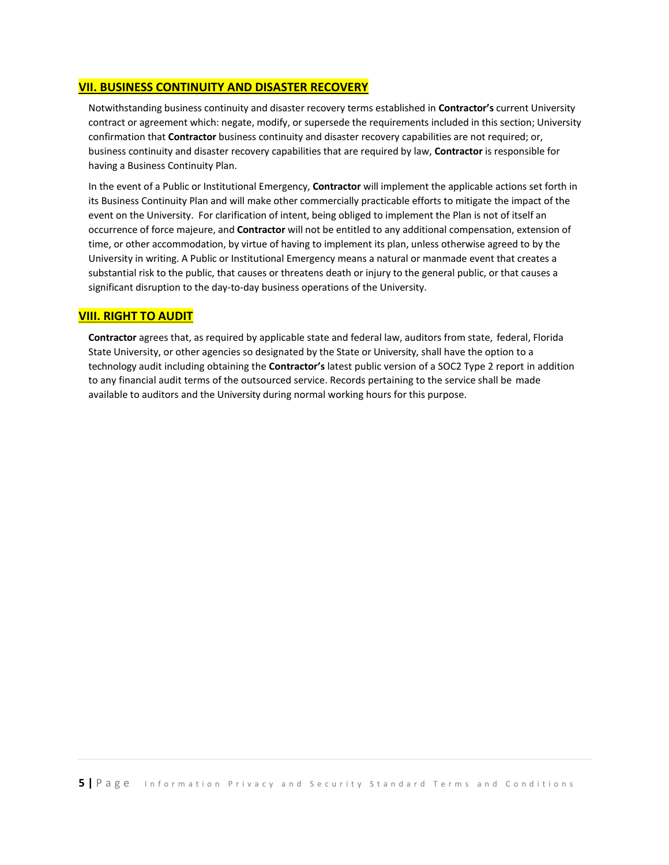# **VII. BUSINESS CONTINUITY AND DISASTER RECOVERY**

Notwithstanding business continuity and disaster recovery terms established in **Contractor's** current University contract or agreement which: negate, modify, or supersede the requirements included in this section; University confirmation that **Contractor** business continuity and disaster recovery capabilities are not required; or, business continuity and disaster recovery capabilities that are required by law, **Contractor** is responsible for having a Business Continuity Plan.

In the event of a Public or Institutional Emergency, **Contractor** will implement the applicable actions set forth in its Business Continuity Plan and will make other commercially practicable efforts to mitigate the impact of the event on the University. For clarification of intent, being obliged to implement the Plan is not of itself an occurrence of force majeure, and **Contractor** will not be entitled to any additional compensation, extension of time, or other accommodation, by virtue of having to implement its plan, unless otherwise agreed to by the University in writing. A Public or Institutional Emergency means a natural or manmade event that creates a substantial risk to the public, that causes or threatens death or injury to the general public, or that causes a significant disruption to the day-to-day business operations of the University.

# **VIII. RIGHT TO AUDIT**

**Contractor** agrees that, as required by applicable state and federal law, auditors from state, federal, Florida State University, or other agencies so designated by the State or University, shall have the option to a technology audit including obtaining the **Contractor's** latest public version of a SOC2 Type 2 report in addition to any financial audit terms of the outsourced service. Records pertaining to the service shall be made available to auditors and the University during normal working hours for this purpose.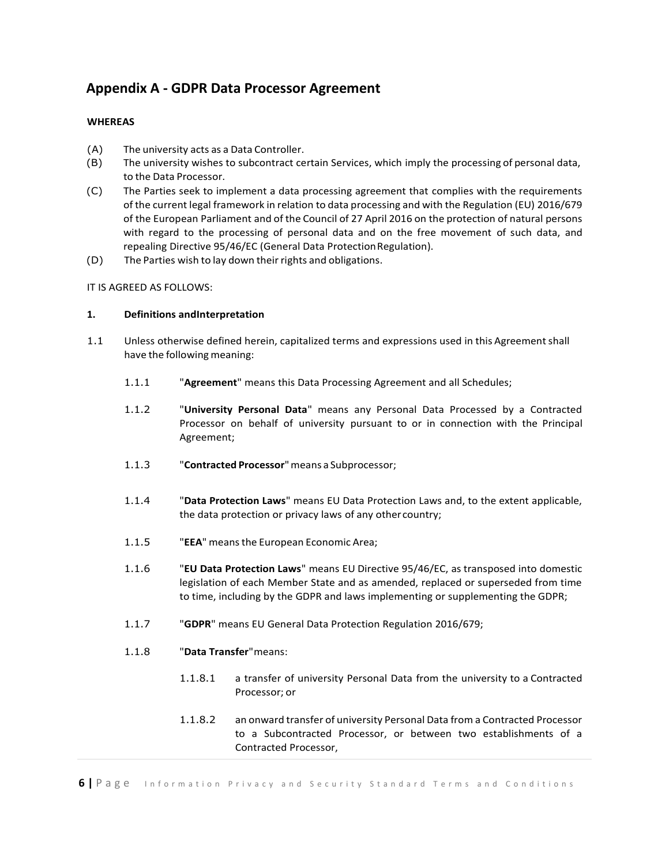# **Appendix A - GDPR Data Processor Agreement**

# **WHEREAS**

- (A) The university acts as a Data Controller.
- (B) The university wishes to subcontract certain Services, which imply the processing of personal data, to the Data Processor.
- (C) The Parties seek to implement a data processing agreement that complies with the requirements of the current legal framework in relation to data processing and with the Regulation (EU) 2016/679 of the European Parliament and of the Council of 27 April 2016 on the protection of natural persons with regard to the processing of personal data and on the free movement of such data, and repealing Directive 95/46/EC (General Data Protection Regulation).
- (D) The Parties wish to lay down their rights and obligations.

IT IS AGREED AS FOLLOWS:

# **1. Definitions andInterpretation**

- 1.1 Unless otherwise defined herein, capitalized terms and expressions used in this Agreementshall have the following meaning:
	- 1.1.1 "**Agreement**" means this Data Processing Agreement and all Schedules;
	- 1.1.2 "**University Personal Data**" means any Personal Data Processed by a Contracted Processor on behalf of university pursuant to or in connection with the Principal Agreement;
	- 1.1.3 "**Contracted Processor**"means a Subprocessor;
	- 1.1.4 "**Data Protection Laws**" means EU Data Protection Laws and, to the extent applicable, the data protection or privacy laws of any othercountry;
	- 1.1.5 "**EEA**" meansthe European Economic Area;
	- 1.1.6 "**EU Data Protection Laws**" means EU Directive 95/46/EC, as transposed into domestic legislation of each Member State and as amended, replaced or superseded from time to time, including by the GDPR and laws implementing or supplementing the GDPR;
	- 1.1.7 "**GDPR**" means EU General Data Protection Regulation 2016/679;
	- 1.1.8 "**Data Transfer**"means:
		- 1.1.8.1 a transfer of university Personal Data from the university to a Contracted Processor; or
		- 1.1.8.2 an onward transfer of university Personal Data from a Contracted Processor to a Subcontracted Processor, or between two establishments of a Contracted Processor,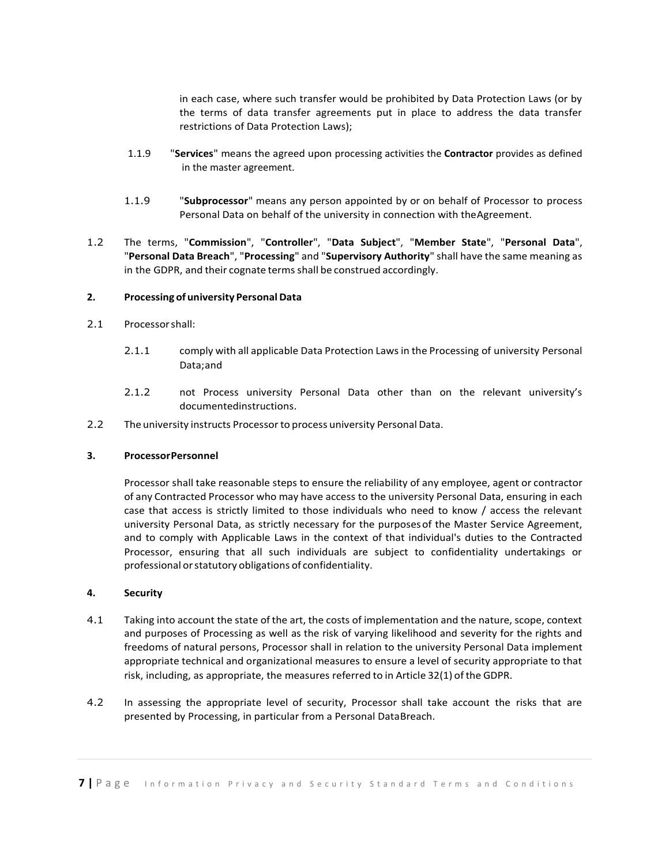in each case, where such transfer would be prohibited by Data Protection Laws (or by the terms of data transfer agreements put in place to address the data transfer restrictions of Data Protection Laws);

- 1.1.9 "**Services**" means the agreed upon processing activities the **Contractor** provides as defined in the master agreement.
- 1.1.9 "**Subprocessor**" means any person appointed by or on behalf of Processor to process Personal Data on behalf of the university in connection with theAgreement.
- 1.2 The terms, "**Commission**", "**Controller**", "**Data Subject**", "**Member State**", "**Personal Data**", "**Personal Data Breach**", "**Processing**" and "**Supervisory Authority**" shall have the same meaning as in the GDPR, and their cognate terms shall be construed accordingly.

#### **2. Processing ofuniversity Personal Data**

- 2.1 Processorshall:
	- 2.1.1 comply with all applicable Data Protection Laws in the Processing of university Personal Data;and
	- 2.1.2 not Process university Personal Data other than on the relevant university's documentedinstructions.
- 2.2 The university instructs Processor to process university Personal Data.

#### **3. ProcessorPersonnel**

Processor shall take reasonable steps to ensure the reliability of any employee, agent or contractor of any Contracted Processor who may have access to the university Personal Data, ensuring in each case that access is strictly limited to those individuals who need to know / access the relevant university Personal Data, as strictly necessary for the purposesof the Master Service Agreement, and to comply with Applicable Laws in the context of that individual's duties to the Contracted Processor, ensuring that all such individuals are subject to confidentiality undertakings or professional orstatutory obligations of confidentiality.

#### **4. Security**

- 4.1 Taking into account the state of the art, the costs of implementation and the nature, scope, context and purposes of Processing as well as the risk of varying likelihood and severity for the rights and freedoms of natural persons, Processor shall in relation to the university Personal Data implement appropriate technical and organizational measures to ensure a level of security appropriate to that risk, including, as appropriate, the measures referred to in Article 32(1) ofthe GDPR.
- 4.2 In assessing the appropriate level of security, Processor shall take account the risks that are presented by Processing, in particular from a Personal DataBreach.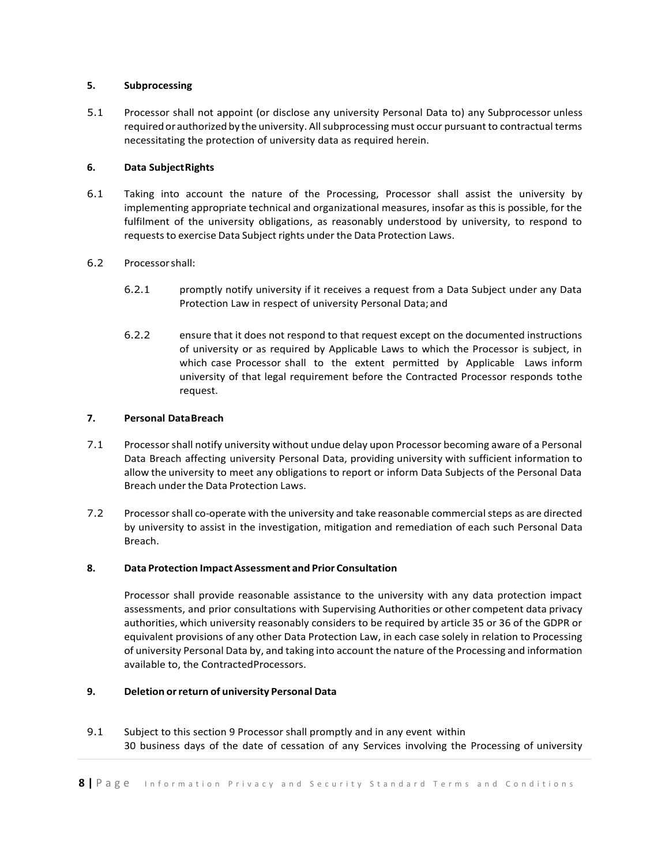# **5. Subprocessing**

5.1 Processor shall not appoint (or disclose any university Personal Data to) any Subprocessor unless required or authorized by the university. All subprocessing must occur pursuant to contractual terms necessitating the protection of university data as required herein.

# **6. Data SubjectRights**

6.1 Taking into account the nature of the Processing, Processor shall assist the university by implementing appropriate technical and organizational measures, insofar as this is possible, for the fulfilment of the university obligations, as reasonably understood by university, to respond to requests to exercise Data Subject rights under the Data Protection Laws.

# 6.2 Processorshall:

- 6.2.1 promptly notify university if it receives a request from a Data Subject under any Data Protection Law in respect of university Personal Data; and
- 6.2.2 ensure that it does not respond to that request except on the documented instructions of university or as required by Applicable Laws to which the Processor is subject, in which case Processor shall to the extent permitted by Applicable Laws inform university of that legal requirement before the Contracted Processor responds tothe request.

# **7. Personal DataBreach**

- 7.1 Processor shall notify university without undue delay upon Processor becoming aware of a Personal Data Breach affecting university Personal Data, providing university with sufficient information to allow the university to meet any obligations to report or inform Data Subjects of the Personal Data Breach under the Data Protection Laws.
- 7.2 Processor shall co-operate with the university and take reasonable commercial steps as are directed by university to assist in the investigation, mitigation and remediation of each such Personal Data Breach.

# **8. Data Protection ImpactAssessment and Prior Consultation**

Processor shall provide reasonable assistance to the university with any data protection impact assessments, and prior consultations with Supervising Authorities or other competent data privacy authorities, which university reasonably considers to be required by article 35 or 36 of the GDPR or equivalent provisions of any other Data Protection Law, in each case solely in relation to Processing of university Personal Data by, and taking into account the nature of the Processing and information available to, the ContractedProcessors.

# **9. Deletion orreturn of university Personal Data**

9.1 Subject to this section 9 Processor shall promptly and in any event within 30 business days of the date of cessation of any Services involving the Processing of university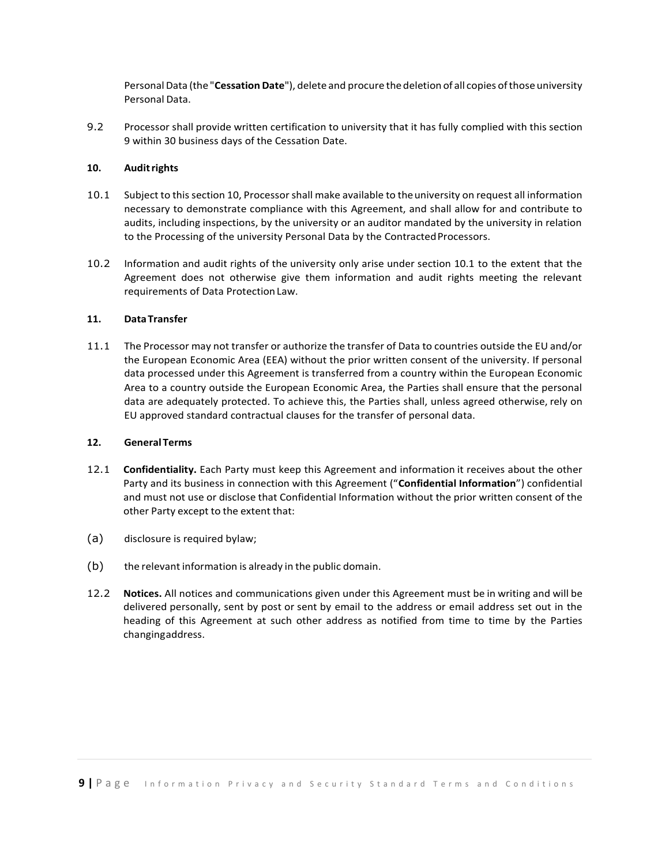PersonalData (the "**Cessation Date**"), delete and procure thedeletion of all copies ofthoseuniversity Personal Data.

9.2 Processor shall provide written certification to university that it has fully complied with this section 9 within 30 business days of the Cessation Date.

# **10. Auditrights**

- 10.1 Subject to this section 10, Processor shall make available to theuniversity on request all information necessary to demonstrate compliance with this Agreement, and shall allow for and contribute to audits, including inspections, by the university or an auditor mandated by the university in relation to the Processing of the university Personal Data by the Contracted Processors.
- 10.2 Information and audit rights of the university only arise under section 10.1 to the extent that the Agreement does not otherwise give them information and audit rights meeting the relevant requirements of Data Protection Law.

# **11. DataTransfer**

11.1 The Processor may not transfer or authorize the transfer of Data to countries outside the EU and/or the European Economic Area (EEA) without the prior written consent of the university. If personal data processed under this Agreement is transferred from a country within the European Economic Area to a country outside the European Economic Area, the Parties shall ensure that the personal data are adequately protected. To achieve this, the Parties shall, unless agreed otherwise, rely on EU approved standard contractual clauses for the transfer of personal data.

#### **12. GeneralTerms**

- 12.1 **Confidentiality.** Each Party must keep this Agreement and information it receives about the other Party and its business in connection with this Agreement ("**Confidential Information**") confidential and must not use or disclose that Confidential Information without the prior written consent of the other Party except to the extent that:
- (a) disclosure is required bylaw;
- (b) the relevant information is already in the public domain.
- 12.2 **Notices.** All notices and communications given under this Agreement must be in writing and will be delivered personally, sent by post or sent by email to the address or email address set out in the heading of this Agreement at such other address as notified from time to time by the Parties changingaddress.